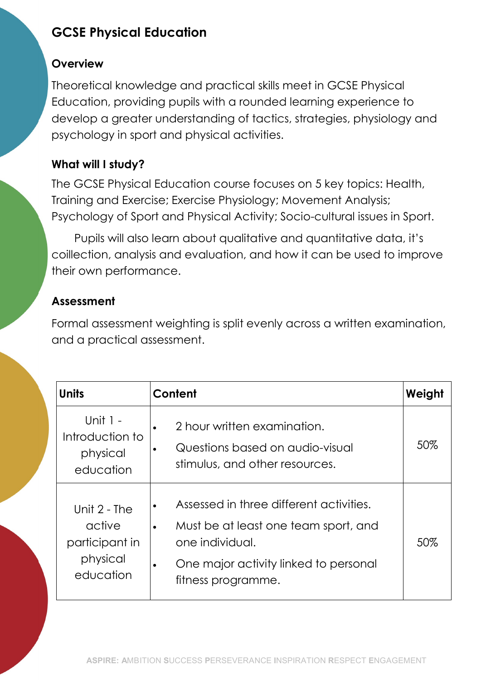# GCSE Physical Education

## **Overview**

Theoretical knowledge and practical skills meet in GCSE Physical Education, providing pupils with a rounded learning experience to develop a greater understanding of tactics, strategies, physiology and psychology in sport and physical activities.

# What will I study?

The GCSE Physical Education course focuses on 5 key topics: Health, Training and Exercise; Exercise Physiology; Movement Analysis; Psychology of Sport and Physical Activity; Socio-cultural issues in Sport.

Pupils will also learn about qualitative and quantitative data, it's coillection, analysis and evaluation, and how it can be used to improve their own performance.

# Assessment

Formal assessment weighting is split evenly across a written examination, and a practical assessment.

| <b>Units</b>                                                        | Content                                                                                                                                                                        | Weight |
|---------------------------------------------------------------------|--------------------------------------------------------------------------------------------------------------------------------------------------------------------------------|--------|
| Unit 1 -<br>Introduction to<br>physical<br>education                | 2 hour written examination.<br>Questions based on audio-visual<br>stimulus, and other resources.                                                                               | 50%    |
| Unit $2$ - The<br>active<br>participant in<br>physical<br>education | Assessed in three different activities.<br>Must be at least one team sport, and<br>$\bullet$<br>one individual.<br>One major activity linked to personal<br>fitness programme. | 50%    |